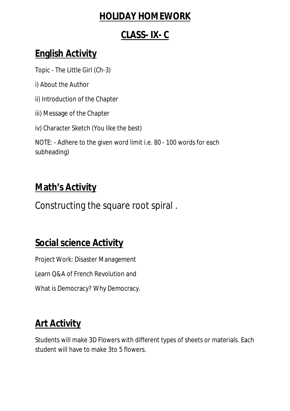#### **HOLIDAY HOMEWORK**

#### **CLASS- IX- C**

#### **English Activity**

Topic - The Little Girl (Ch-3)

- i) About the Author
- ii) Introduction of the Chapter
- iii) Message of the Chapter

iv) Character Sketch (You like the best)

NOTE: - Adhere to the given word limit i.e. 80 - 100 words for each subheading)

#### **Math's Activity**

Constructing the square root spiral .

#### **Social science Activity**

Project Work: Disaster Management

Learn Q&A of French Revolution and

What is Democracy? Why Democracy.

### **Art Activity**

Students will make 3D Flowers with different types of sheets or materials. Each student will have to make 3to 5 flowers.